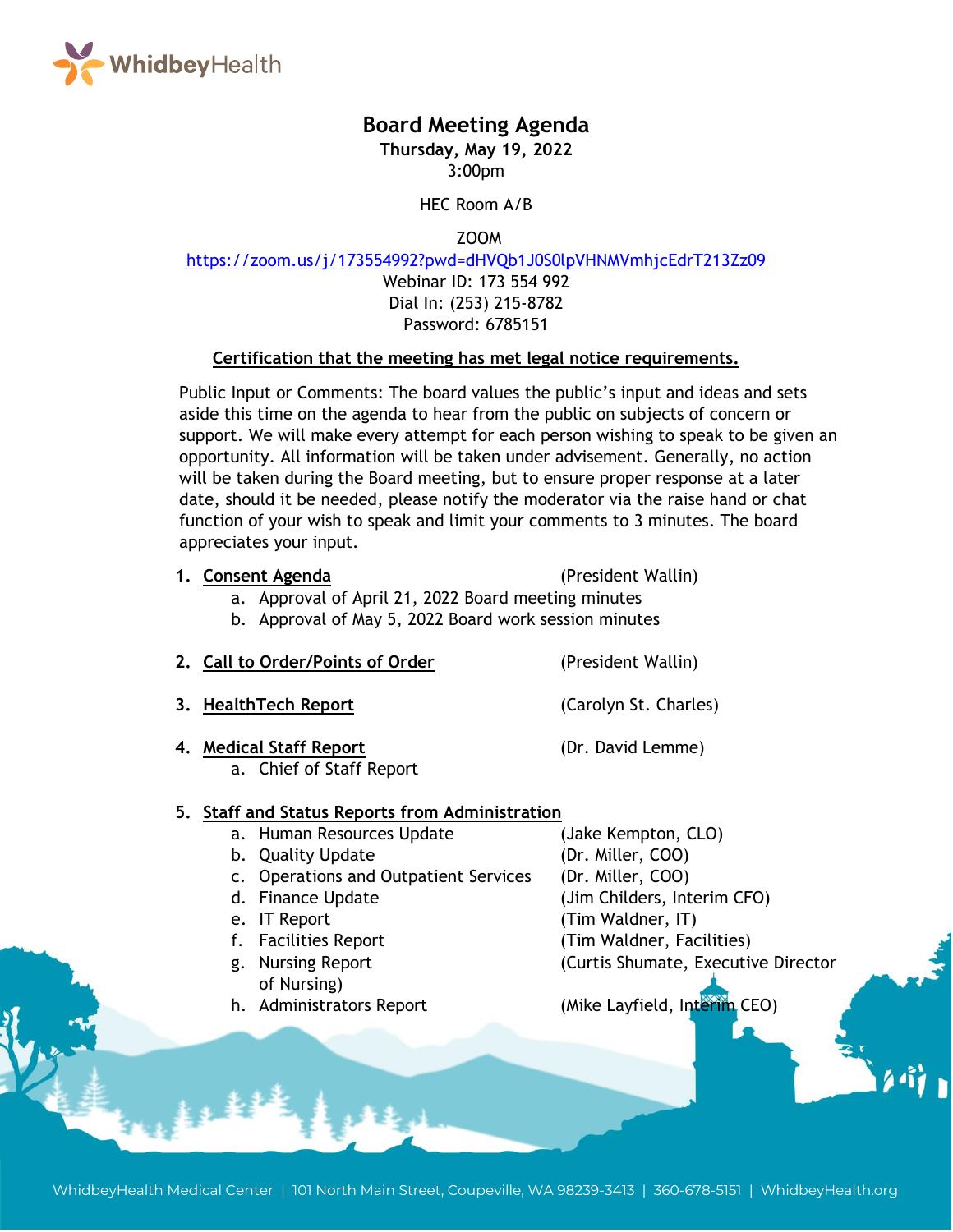

# **Board Meeting Agenda**

**Thursday, May 19, 2022** 3:00pm

HEC Room A/B

ZOOM

<https://zoom.us/j/173554992?pwd=dHVQb1J0S0lpVHNMVmhjcEdrT213Zz09>

Webinar ID: 173 554 992 Dial In: (253) 215-8782 Password: 6785151

#### **Certification that the meeting has met legal notice requirements.**

Public Input or Comments: The board values the public's input and ideas and sets aside this time on the agenda to hear from the public on subjects of concern or support. We will make every attempt for each person wishing to speak to be given an opportunity. All information will be taken under advisement. Generally, no action will be taken during the Board meeting, but to ensure proper response at a later date, should it be needed, please notify the moderator via the raise hand or chat function of your wish to speak and limit your comments to 3 minutes. The board appreciates your input.

**1. Consent Agenda** (President Wallin)

- a. Approval of April 21, 2022 Board meeting minutes
- b. Approval of May 5, 2022 Board work session minutes
- **2. Call to Order/Points of Order** (President Wallin)
- **3. HealthTech Report** (Carolyn St. Charles)
- **4. Medical Staff Report** (Dr. David Lemme)
	- a. Chief of Staff Report

### **5. Staff and Status Reports from Administration**

- a. Human Resources Update (Jake Kempton, CLO)
- b. Quality Update (Dr. Miller, COO)
- c. Operations and Outpatient Services (Dr. Miller, COO)
- d. Finance Update (Jim Childers, Interim CFO)
- e. IT Report (Tim Waldner, IT)
- f. Facilities Report (Tim Waldner, Facilities)
- g. Nursing Report (Curtis Shumate, Executive Director of Nursing)
- h. Administrators Report (Mike Layfield, Interim CEO)

WhidbeyHealth Medical Center | 101 North Main Street, Coupeville, WA 98239-3413 | 360-678-5151 | WhidbeyHealth.org